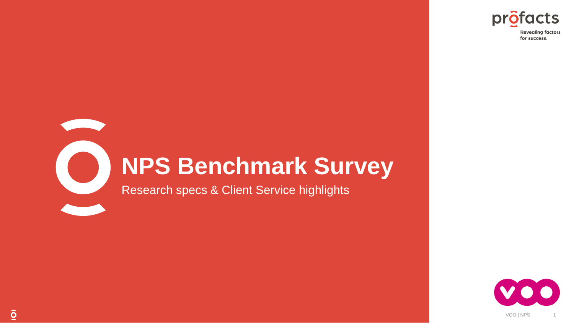

# **NPS Benchmark Survey**

Research specs & Client Service highlights



 $\overline{Q}$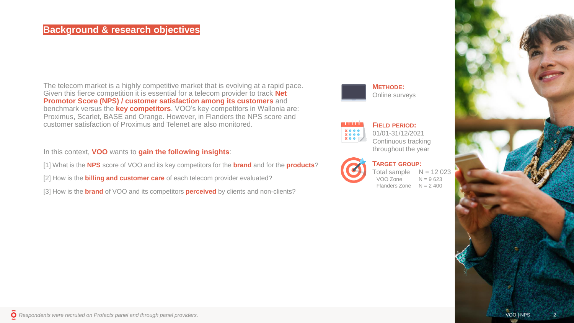### **Background & research objectives**

The telecom market is a highly competitive market that is evolving at a rapid pace. Given this fierce competition it is essential for a telecom provider to track **Net Promotor Score (NPS) / customer satisfaction among its customers** and benchmark versus the **key competitors**. VOO's key competitors in Wallonia are: Proximus, Scarlet, BASE and Orange. However, in Flanders the NPS score and customer satisfaction of Proximus and Telenet are also monitored.

In this context, **VOO** wants to **gain the following insights**:

[1] What is the **NPS** score of VOO and its key competitors for the **brand** and for the **products**?

[2] How is the **billing and customer care** of each telecom provider evaluated?

[3] How is the **brand** of VOO and its competitors **perceived** by clients and non-clients?

**METHODE:** Online surveys

### **FIELD PERIOD:**

01/01-31/12/2021 Continuous tracking throughout the year



**TARGET GROUP:** Total sample  $N = 12023$ VOO Zone  $N = 9623$ Flanders Zone  $N = 2,400$ 

*Respondents were recruted on Profacts panel and through panel providers.*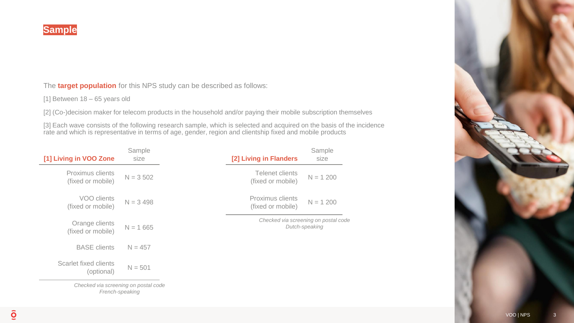The **target population** for this NPS study can be described as follows:

[1] Between 18 – 65 years old

[2] (Co-)decision maker for telecom products in the household and/or paying their mobile subscription themselves

[3] Each wave consists of the following research sample, which is selected and acquired on the basis of the incidence rate and which is representative in terms of age, gender, region and clientship fixed and mobile products

| [1] Living in VOO Zone                | Sample<br>size                       | [2] Living in Flanders                | Sample<br>size                                         |  |  |
|---------------------------------------|--------------------------------------|---------------------------------------|--------------------------------------------------------|--|--|
| Proximus clients<br>(fixed or mobile) | $N = 3,502$                          | Telenet clients<br>(fixed or mobile)  | $N = 1200$                                             |  |  |
| VOO clients<br>(fixed or mobile)      | $N = 3,498$                          | Proximus clients<br>(fixed or mobile) | $N = 1200$                                             |  |  |
| Orange clients<br>(fixed or mobile)   | $N = 1665$                           |                                       | Checked via screening on postal code<br>Dutch-speaking |  |  |
| <b>BASE</b> clients                   | $N = 457$                            |                                       |                                                        |  |  |
| Scarlet fixed clients<br>(optional)   | $N = 501$                            |                                       |                                                        |  |  |
|                                       | Checked via screening on postal code |                                       |                                                        |  |  |

*French-speaking*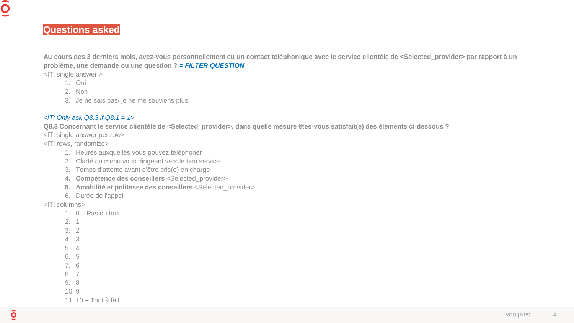## **Questions asked**

**Au cours des 3 derniers mois, avez-vous personnellement eu un contact téléphonique avec le service clientèle de <Selected\_provider> par rapport à un problème, une demande ou une question ?** *= FILTER QUESTION*

<IT: single answer >

- 1. Oui
- 2. Non
- 3. Je ne sais pas/ je ne me souviens plus

### *<IT: Only ask Q8.3 if Q8.1 = 1>*

**Q8.3 Concernant le service clientèle de <Selected\_provider>, dans quelle mesure êtes-vous satisfait(e) des éléments ci-dessous ?**

<IT: single answer per row>

<IT: rows, randomize>

- 1. Heures auxquelles vous pouvez téléphoner
- 2. Clarté du menu vous dirigeant vers le bon service
- 3. Temps d'attente avant d'être pris(e) en charge
- **4. Compétence des conseillers** <Selected\_provider>
- **5. Amabilité et politesse des conseillers** <Selected\_provider>
- 6. Durée de l'appel

<IT: columns>

- 1. 0 Pas du tout 2. 1 3. 2 4. 3 5. 4 6. 5 7. 6 8. 7
- 9. 8

10. 9

11. 10 – Tout à fait